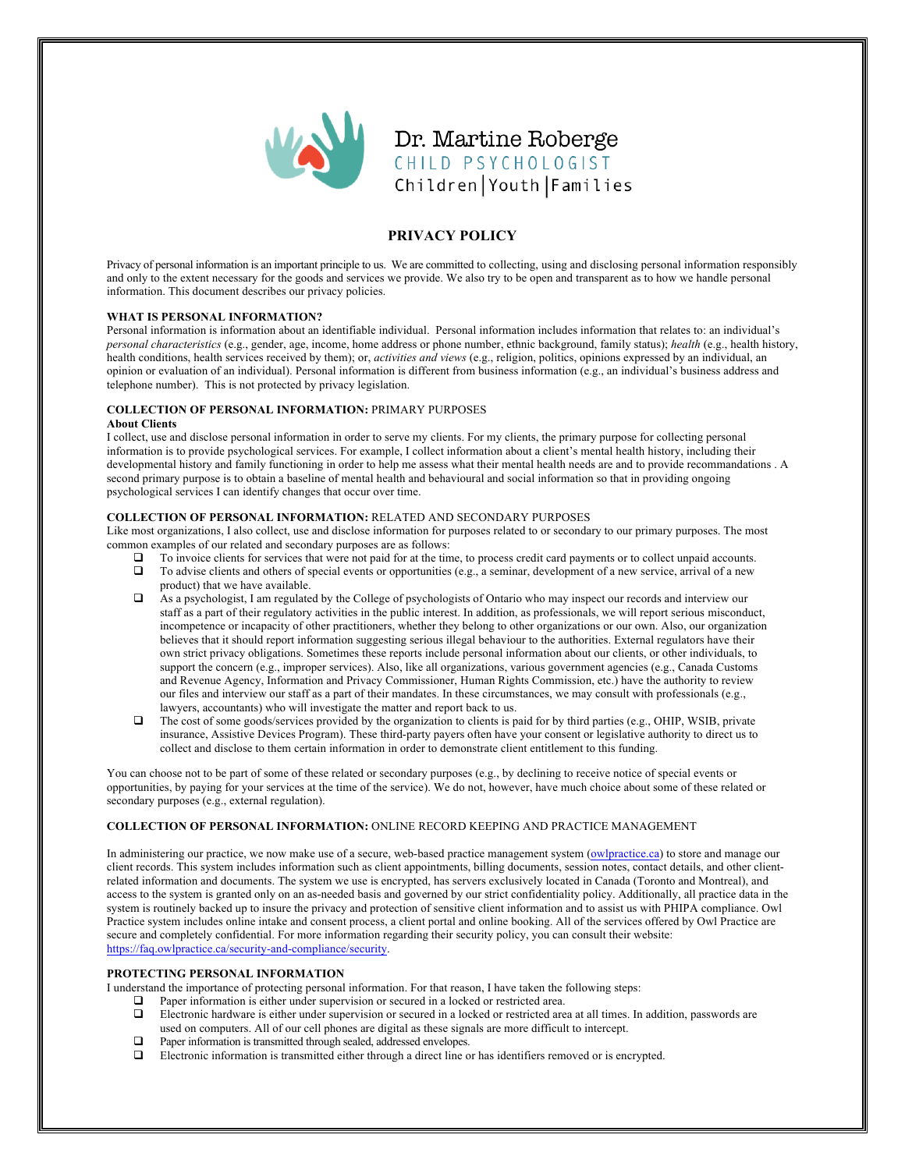

Dr. Martine Roberge CHILD PSYCHOLOGIST Children | Youth | Families

# **PRIVACY POLICY**

Privacy of personal information is an important principle to us. We are committed to collecting, using and disclosing personal information responsibly and only to the extent necessary for the goods and services we provide. We also try to be open and transparent as to how we handle personal information. This document describes our privacy policies.

# **WHAT IS PERSONAL INFORMATION?**

Personal information is information about an identifiable individual. Personal information includes information that relates to: an individual's *personal characteristics* (e.g., gender, age, income, home address or phone number, ethnic background, family status); *health* (e.g., health history, health conditions, health services received by them); or, *activities and views* (e.g., religion, politics, opinions expressed by an individual, an opinion or evaluation of an individual). Personal information is different from business information (e.g., an individual's business address and telephone number). This is not protected by privacy legislation.

#### **COLLECTION OF PERSONAL INFORMATION:** PRIMARY PURPOSES **About Clients**

I collect, use and disclose personal information in order to serve my clients. For my clients, the primary purpose for collecting personal information is to provide psychological services. For example, I collect information about a client's mental health history, including their developmental history and family functioning in order to help me assess what their mental health needs are and to provide recommandations . A second primary purpose is to obtain a baseline of mental health and behavioural and social information so that in providing ongoing psychological services I can identify changes that occur over time.

# **COLLECTION OF PERSONAL INFORMATION:** RELATED AND SECONDARY PURPOSES

Like most organizations, I also collect, use and disclose information for purposes related to or secondary to our primary purposes. The most common examples of our related and secondary purposes are as follows:

- ! To invoice clients for services that were not paid for at the time, to process credit card payments or to collect unpaid accounts.
- ! To advise clients and others of special events or opportunities (e.g., a seminar, development of a new service, arrival of a new product) that we have available.
- ! As a psychologist, I am regulated by the College of psychologists of Ontario who may inspect our records and interview our staff as a part of their regulatory activities in the public interest. In addition, as professionals, we will report serious misconduct, incompetence or incapacity of other practitioners, whether they belong to other organizations or our own. Also, our organization believes that it should report information suggesting serious illegal behaviour to the authorities. External regulators have their own strict privacy obligations. Sometimes these reports include personal information about our clients, or other individuals, to support the concern (e.g., improper services). Also, like all organizations, various government agencies (e.g., Canada Customs and Revenue Agency, Information and Privacy Commissioner, Human Rights Commission, etc.) have the authority to review our files and interview our staff as a part of their mandates. In these circumstances, we may consult with professionals (e.g., lawyers, accountants) who will investigate the matter and report back to us.
- $\Box$  The cost of some goods/services provided by the organization to clients is paid for by third parties (e.g., OHIP, WSIB, private insurance, Assistive Devices Program). These third-party payers often have your consent or legislative authority to direct us to collect and disclose to them certain information in order to demonstrate client entitlement to this funding.

You can choose not to be part of some of these related or secondary purposes (e.g., by declining to receive notice of special events or opportunities, by paying for your services at the time of the service). We do not, however, have much choice about some of these related or secondary purposes (e.g., external regulation).

# **COLLECTION OF PERSONAL INFORMATION:** ONLINE RECORD KEEPING AND PRACTICE MANAGEMENT

In administering our practice, we now make use of a secure, web-based practice management system (owlpractice.ca) to store and manage our client records. This system includes information such as client appointments, billing documents, session notes, contact details, and other clientrelated information and documents. The system we use is encrypted, has servers exclusively located in Canada (Toronto and Montreal), and access to the system is granted only on an as-needed basis and governed by our strict confidentiality policy. Additionally, all practice data in the system is routinely backed up to insure the privacy and protection of sensitive client information and to assist us with PHIPA compliance. Owl Practice system includes online intake and consent process, a client portal and online booking. All of the services offered by Owl Practice are secure and completely confidential. For more information regarding their security policy, you can consult their website: https://faq.owlpractice.ca/security-and-compliance/security.

## **PROTECTING PERSONAL INFORMATION**

I understand the importance of protecting personal information. For that reason, I have taken the following steps:

- $\Box$  Paper information is either under supervision or secured in a locked or restricted area.<br> $\Box$  Electronic bardware is either under supervision or secured in a locked or restricted are
- ! Electronic hardware is either under supervision or secured in a locked or restricted area at all times. In addition, passwords are used on computers. All of our cell phones are digital as these signals are more difficult to intercept.
- ! Paper information is transmitted through sealed, addressed envelopes.
- ! Electronic information is transmitted either through a direct line or has identifiers removed or is encrypted.